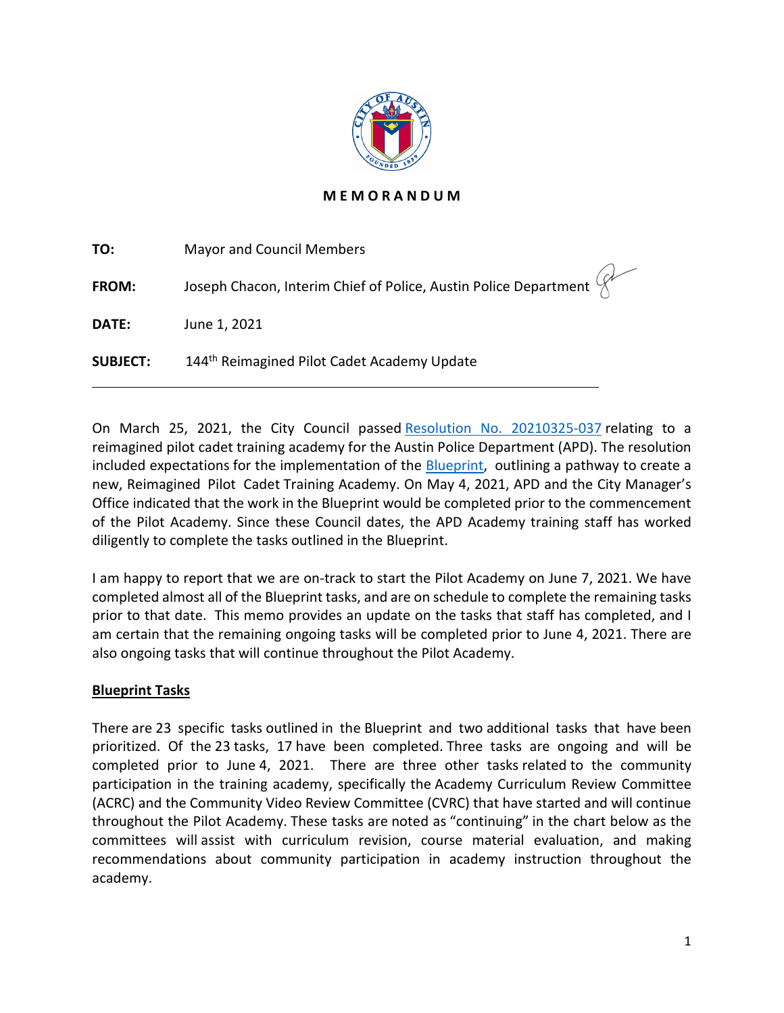

# **M E M O R A N D U M**

| TO:             | <b>Mayor and Council Members</b>                                                                                |
|-----------------|-----------------------------------------------------------------------------------------------------------------|
| FROM:           | Joseph Chacon, Interim Chief of Police, Austin Police Department $\begin{pmatrix} 1 & 1 \\ 1 & 1 \end{pmatrix}$ |
| DATE:           | June 1, 2021                                                                                                    |
| <b>SUBJECT:</b> | 144 <sup>th</sup> Reimagined Pilot Cadet Academy Update                                                         |

On March 25, 2021, the City Council passed [Resolution No. 20210325-037](https://www.austintexas.gov/edims/document.cfm?id=357869) relating to a reimagined pilot cadet training academy for the Austin Police Department (APD). The resolution included expectations for the implementation of the [Blueprint,](https://www.austintexas.gov/edims/document.cfm?id=356769)  outlining a pathway to create a new, Reimagined  Pilot  Cadet Training Academy. On May 4, 2021, APD and the City Manager's Office indicated that the work in the Blueprint would be completed prior to the commencement of the Pilot Academy. Since these Council dates, the APD Academy training staff has worked diligently to complete the tasks outlined in the Blueprint.

I am happy to report that we are on-track to start the Pilot Academy on June 7, 2021. We have completed almost all of the Blueprint tasks, and are on schedule to complete the remaining tasks prior to that date. This memo provides an update on the tasks that staff has completed, and I am certain that the remaining ongoing tasks will be completed prior to June 4, 2021. There are also ongoing tasks that will continue throughout the Pilot Academy.

### **Blueprint Tasks**

l

There are 23 specific tasks outlined in the Blueprint and two additional tasks that have been prioritized. Of the 23 tasks, 17 have been completed. Three tasks are ongoing and will be completed prior to June 4, 2021. There are three other tasks related to the community participation in the training academy, specifically the Academy Curriculum Review Committee (ACRC) and the Community Video Review Committee (CVRC) that have started and will continue throughout the Pilot Academy. These tasks are noted as "continuing" in the chart below as the committees will assist with curriculum revision, course material evaluation, and making recommendations about community participation in academy instruction throughout the academy.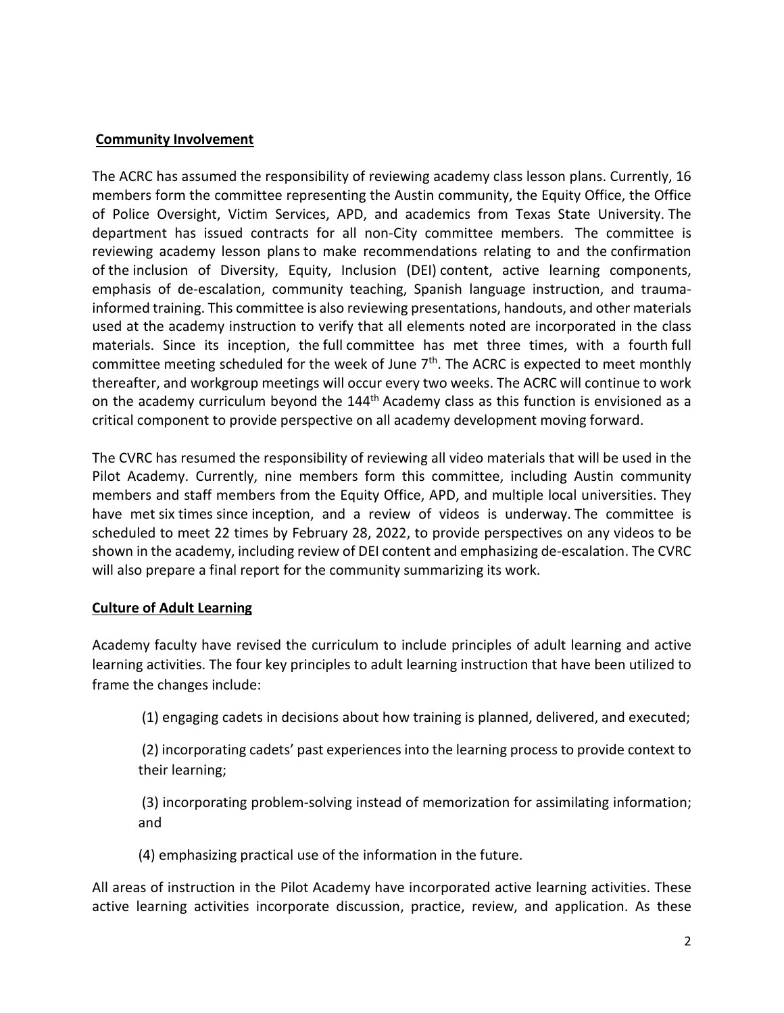#### **Community Involvement**

The ACRC has assumed the responsibility of reviewing academy class lesson plans. Currently, 16 members form the committee representing the Austin community, the Equity Office, the Office of Police Oversight, Victim Services, APD, and academics from Texas State University. The department has issued contracts for all non-City committee members. The committee is reviewing academy lesson plans to make recommendations relating to and the confirmation of the inclusion of Diversity, Equity, Inclusion (DEI) content, active learning components, emphasis of de-escalation, community teaching, Spanish language instruction, and traumainformed training. This committee is also reviewing presentations, handouts, and other materials used at the academy instruction to verify that all elements noted are incorporated in the class materials. Since its inception, the full committee has met three times, with a fourth full committee meeting scheduled for the week of June 7<sup>th</sup>. The ACRC is expected to meet monthly thereafter, and workgroup meetings will occur every two weeks. The ACRC will continue to work on the academy curriculum beyond the 144<sup>th</sup> Academy class as this function is envisioned as a critical component to provide perspective on all academy development moving forward.

The CVRC has resumed the responsibility of reviewing all video materials that will be used in the Pilot Academy. Currently, nine members form this committee, including Austin community members and staff members from the Equity Office, APD, and multiple local universities. They have met six times since inception, and a review of videos is underway. The committee is scheduled to meet 22 times by February 28, 2022, to provide perspectives on any videos to be shown in the academy, including review of DEI content and emphasizing de-escalation. The CVRC will also prepare a final report for the community summarizing its work.

#### **Culture of Adult Learning**

Academy faculty have revised the curriculum to include principles of adult learning and active learning activities. The four key principles to adult learning instruction that have been utilized to frame the changes include:

(1) engaging cadets in decisions about how training is planned, delivered, and executed;

(2) incorporating cadets' past experiences into the learning process to provide context to their learning;

(3) incorporating problem-solving instead of memorization for assimilating information; and

(4) emphasizing practical use of the information in the future.

All areas of instruction in the Pilot Academy have incorporated active learning activities. These active learning activities incorporate discussion, practice, review, and application. As these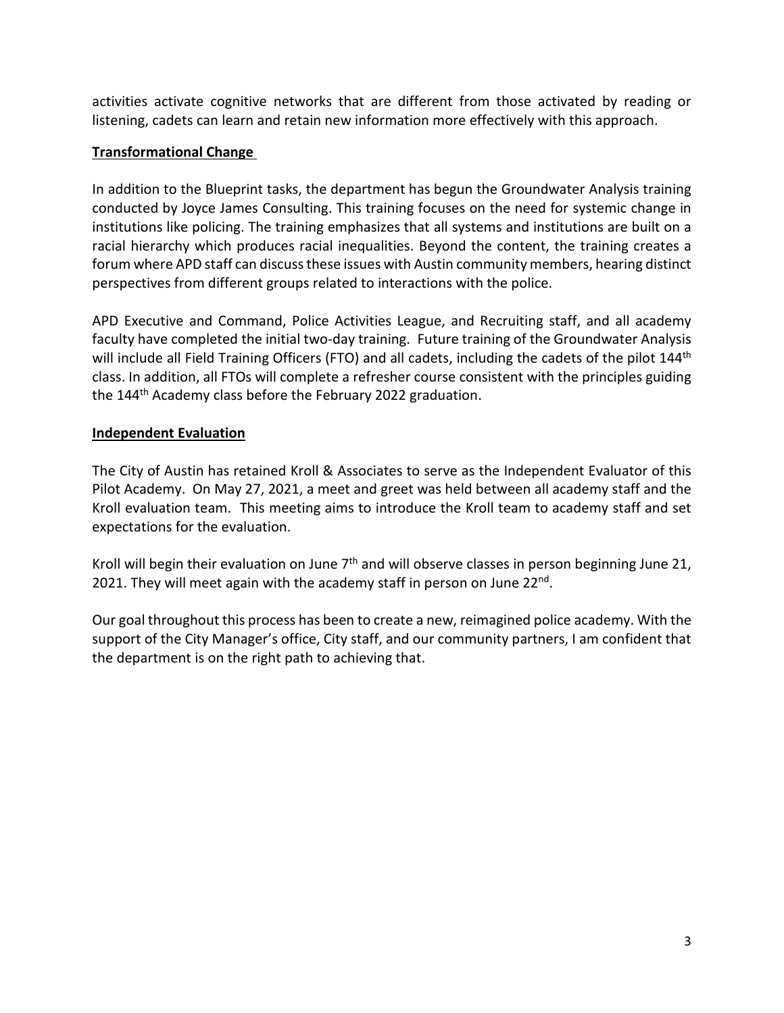activities activate cognitive networks that are different from those activated by reading or listening, cadets can learn and retain new information more effectively with this approach.

### **Transformational Change**

In addition to the Blueprint tasks, the department has begun the Groundwater Analysis training conducted by Joyce James Consulting. This training focuses on the need for systemic change in institutions like policing. The training emphasizes that all systems and institutions are built on a racial hierarchy which produces racial inequalities. Beyond the content, the training creates a forum where APD staff can discuss these issues with Austin community members, hearing distinct perspectives from different groups related to interactions with the police.

APD Executive and Command, Police Activities League, and Recruiting staff, and all academy faculty have completed the initial two-day training. Future training of the Groundwater Analysis will include all Field Training Officers (FTO) and all cadets, including the cadets of the pilot 144<sup>th</sup> class. In addition, all FTOs will complete a refresher course consistent with the principles guiding the 144<sup>th</sup> Academy class before the February 2022 graduation.

# **Independent Evaluation**

The City of Austin has retained Kroll & Associates to serve as the Independent Evaluator of this Pilot Academy. On May 27, 2021, a meet and greet was held between all academy staff and the Kroll evaluation team. This meeting aims to introduce the Kroll team to academy staff and set expectations for the evaluation.

Kroll will begin their evaluation on June  $7<sup>th</sup>$  and will observe classes in person beginning June 21, 2021. They will meet again with the academy staff in person on June 22<sup>nd</sup>.

Our goal throughout this process has been to create a new, reimagined police academy. With the support of the City Manager's office, City staff, and our community partners, I am confident that the department is on the right path to achieving that.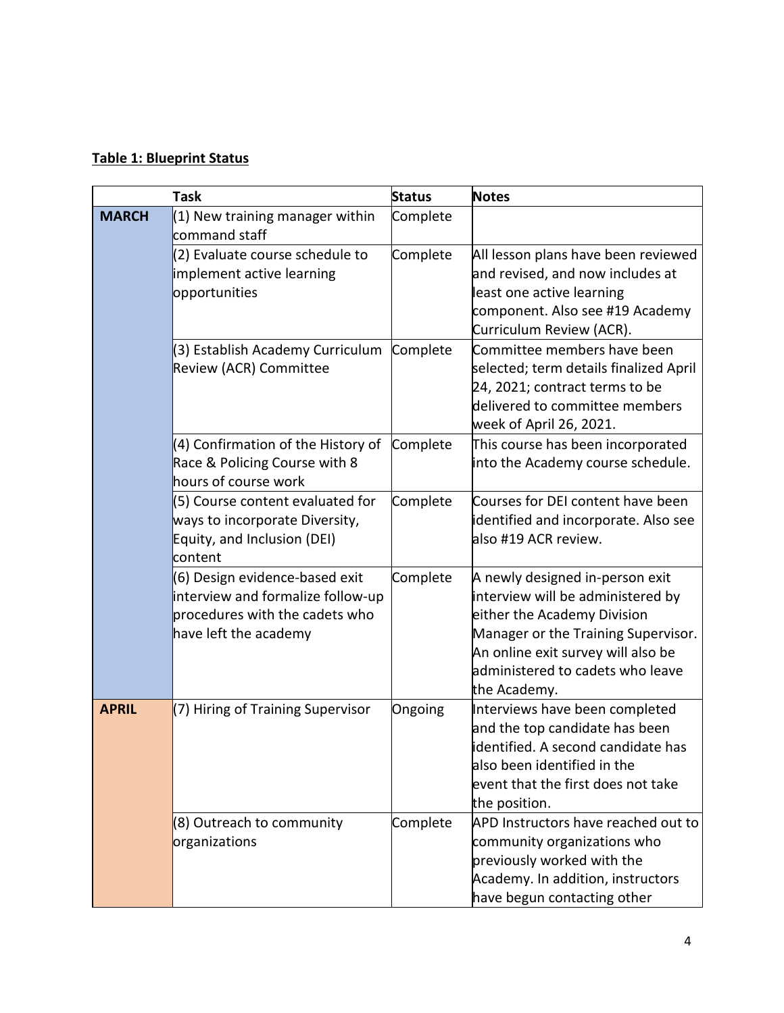# **Table 1: Blueprint Status**

| <b>Task</b>  |                                                                                                                                | <b>Status</b> | <b>Notes</b>                                                                                                                                                                                                                         |
|--------------|--------------------------------------------------------------------------------------------------------------------------------|---------------|--------------------------------------------------------------------------------------------------------------------------------------------------------------------------------------------------------------------------------------|
| <b>MARCH</b> | $(1)$ New training manager within<br>command staff                                                                             | Complete      |                                                                                                                                                                                                                                      |
|              | (2) Evaluate course schedule to<br>implement active learning<br>opportunities                                                  | Complete      | All lesson plans have been reviewed<br>and revised, and now includes at<br>least one active learning<br>component. Also see #19 Academy<br>Curriculum Review (ACR).                                                                  |
|              | (3) Establish Academy Curriculum<br>Review (ACR) Committee                                                                     | Complete      | Committee members have been<br>selected; term details finalized April<br>24, 2021; contract terms to be<br>delivered to committee members<br>week of April 26, 2021.                                                                 |
|              | (4) Confirmation of the History of<br>Race & Policing Course with 8<br>hours of course work                                    | Complete      | This course has been incorporated<br>into the Academy course schedule.                                                                                                                                                               |
|              | (5) Course content evaluated for<br>ways to incorporate Diversity,<br>Equity, and Inclusion (DEI)<br>content                   | Complete      | Courses for DEI content have been<br>identified and incorporate. Also see<br>also #19 ACR review.                                                                                                                                    |
|              | (6) Design evidence-based exit<br>interview and formalize follow-up<br>procedures with the cadets who<br>have left the academy | Complete      | A newly designed in-person exit<br>interview will be administered by<br>either the Academy Division<br>Manager or the Training Supervisor.<br>An online exit survey will also be<br>administered to cadets who leave<br>the Academy. |
| <b>APRIL</b> | (7) Hiring of Training Supervisor                                                                                              | Ongoing       | Interviews have been completed<br>and the top candidate has been<br>identified. A second candidate has<br>also been identified in the<br>event that the first does not take<br>the position.                                         |
|              | (8) Outreach to community<br>organizations                                                                                     | Complete      | APD Instructors have reached out to<br>community organizations who<br>previously worked with the<br>Academy. In addition, instructors<br>have begun contacting other                                                                 |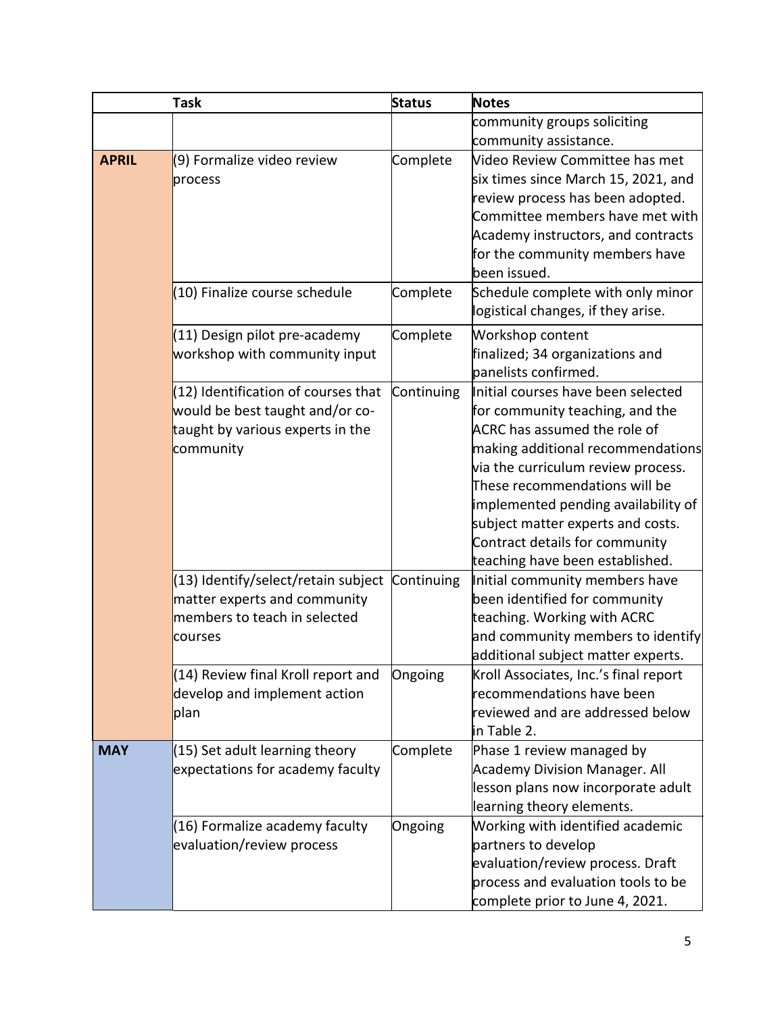| <b>Task</b>  |                                                                                                                           | <b>Status</b> | <b>Notes</b>                                                                                                                                                                                                                                                                                                                                                       |
|--------------|---------------------------------------------------------------------------------------------------------------------------|---------------|--------------------------------------------------------------------------------------------------------------------------------------------------------------------------------------------------------------------------------------------------------------------------------------------------------------------------------------------------------------------|
|              |                                                                                                                           |               | community groups soliciting                                                                                                                                                                                                                                                                                                                                        |
|              |                                                                                                                           |               | community assistance.                                                                                                                                                                                                                                                                                                                                              |
| <b>APRIL</b> | (9) Formalize video review<br>process                                                                                     | Complete      | Video Review Committee has met<br>six times since March 15, 2021, and<br>review process has been adopted.<br>Committee members have met with<br>Academy instructors, and contracts<br>for the community members have<br>been issued.                                                                                                                               |
|              | (10) Finalize course schedule                                                                                             | Complete      | Schedule complete with only minor<br>logistical changes, if they arise.                                                                                                                                                                                                                                                                                            |
|              | (11) Design pilot pre-academy<br>workshop with community input                                                            | Complete      | Workshop content<br>finalized; 34 organizations and<br>panelists confirmed.                                                                                                                                                                                                                                                                                        |
|              | $(12)$ Identification of courses that<br>would be best taught and/or co-<br>taught by various experts in the<br>community | Continuing    | Initial courses have been selected<br>for community teaching, and the<br>ACRC has assumed the role of<br>making additional recommendations<br>via the curriculum review process.<br>These recommendations will be<br>implemented pending availability of<br>subject matter experts and costs.<br>Contract details for community<br>teaching have been established. |
|              | (13) Identify/select/retain subject<br>matter experts and community<br>members to teach in selected<br>courses            | Continuing    | Initial community members have<br>been identified for community<br>teaching. Working with ACRC<br>and community members to identify<br>additional subject matter experts.                                                                                                                                                                                          |
|              | (14) Review final Kroll report and<br>develop and implement action<br>plan                                                | Ongoing       | Kroll Associates, Inc.'s final report<br>recommendations have been<br>reviewed and are addressed below<br>in Table 2.                                                                                                                                                                                                                                              |
| <b>MAY</b>   | $(15)$ Set adult learning theory<br>expectations for academy faculty                                                      | Complete      | Phase 1 review managed by<br><b>Academy Division Manager. All</b><br>lesson plans now incorporate adult<br>learning theory elements.                                                                                                                                                                                                                               |
|              | (16) Formalize academy faculty<br>evaluation/review process                                                               | Ongoing       | Working with identified academic<br>partners to develop<br>evaluation/review process. Draft<br>process and evaluation tools to be<br>complete prior to June 4, 2021.                                                                                                                                                                                               |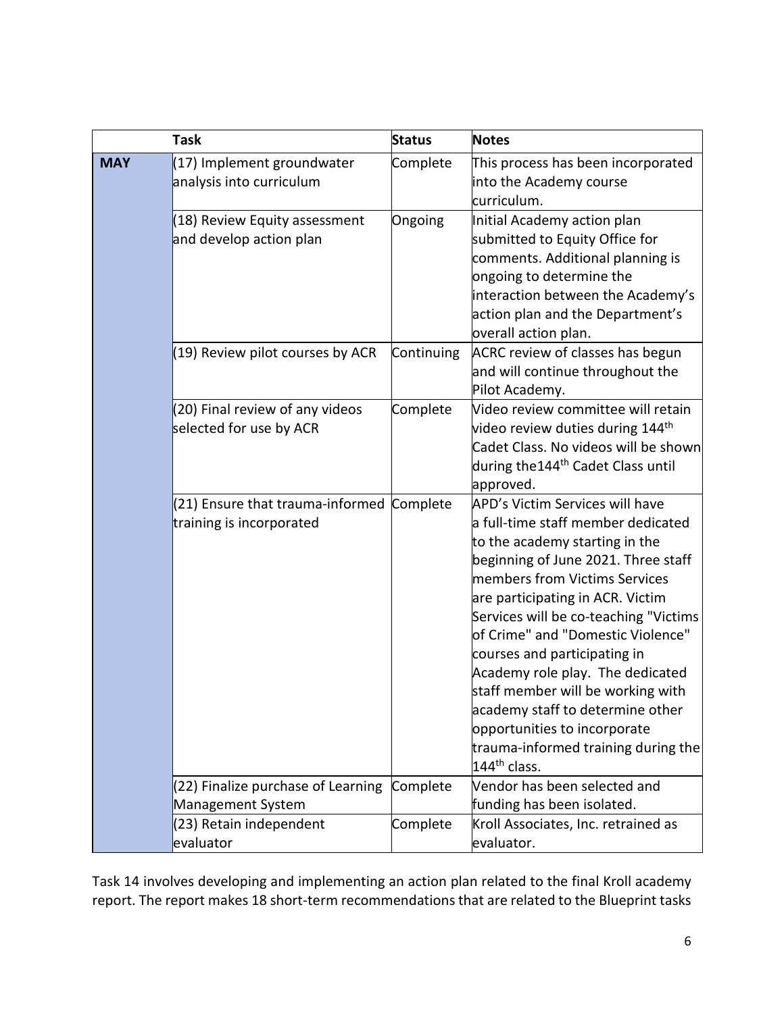|            | <b>Task</b>                                                  | <b>Status</b> | <b>Notes</b>                                                                                                                                                                                                                                                                                                                                                                                                                                                                                                                            |
|------------|--------------------------------------------------------------|---------------|-----------------------------------------------------------------------------------------------------------------------------------------------------------------------------------------------------------------------------------------------------------------------------------------------------------------------------------------------------------------------------------------------------------------------------------------------------------------------------------------------------------------------------------------|
| <b>MAY</b> | (17) Implement groundwater<br>analysis into curriculum       | Complete      | This process has been incorporated<br>into the Academy course<br>curriculum.                                                                                                                                                                                                                                                                                                                                                                                                                                                            |
|            | (18) Review Equity assessment<br>and develop action plan     | Ongoing       | Initial Academy action plan<br>submitted to Equity Office for<br>comments. Additional planning is<br>ongoing to determine the<br>interaction between the Academy's<br>action plan and the Department's<br>overall action plan.                                                                                                                                                                                                                                                                                                          |
|            | $(19)$ Review pilot courses by ACR                           | Continuing    | ACRC review of classes has begun<br>and will continue throughout the<br>Pilot Academy.                                                                                                                                                                                                                                                                                                                                                                                                                                                  |
|            | (20) Final review of any videos<br>selected for use by ACR   | Complete      | Video review committee will retain<br>video review duties during 144 <sup>th</sup><br>Cadet Class. No videos will be shown<br>during the 144 <sup>th</sup> Cadet Class until<br>approved.                                                                                                                                                                                                                                                                                                                                               |
|            | (21) Ensure that trauma-informed<br>training is incorporated | Complete      | APD's Victim Services will have<br>a full-time staff member dedicated<br>to the academy starting in the<br>beginning of June 2021. Three staff<br>members from Victims Services<br>are participating in ACR. Victim<br>Services will be co-teaching "Victims<br>of Crime" and "Domestic Violence"<br>courses and participating in<br>Academy role play. The dedicated<br>staff member will be working with<br>academy staff to determine other<br>opportunities to incorporate<br>trauma-informed training during the<br>$144th$ class. |
|            | (22) Finalize purchase of Learning<br>Management System      | Complete      | Vendor has been selected and<br>funding has been isolated.                                                                                                                                                                                                                                                                                                                                                                                                                                                                              |
|            | (23) Retain independent<br>evaluator                         | Complete      | Kroll Associates, Inc. retrained as<br>evaluator.                                                                                                                                                                                                                                                                                                                                                                                                                                                                                       |

Task 14 involves developing and implementing an action plan related to the final Kroll academy report. The report makes 18 short-term recommendations that are related to the Blueprint tasks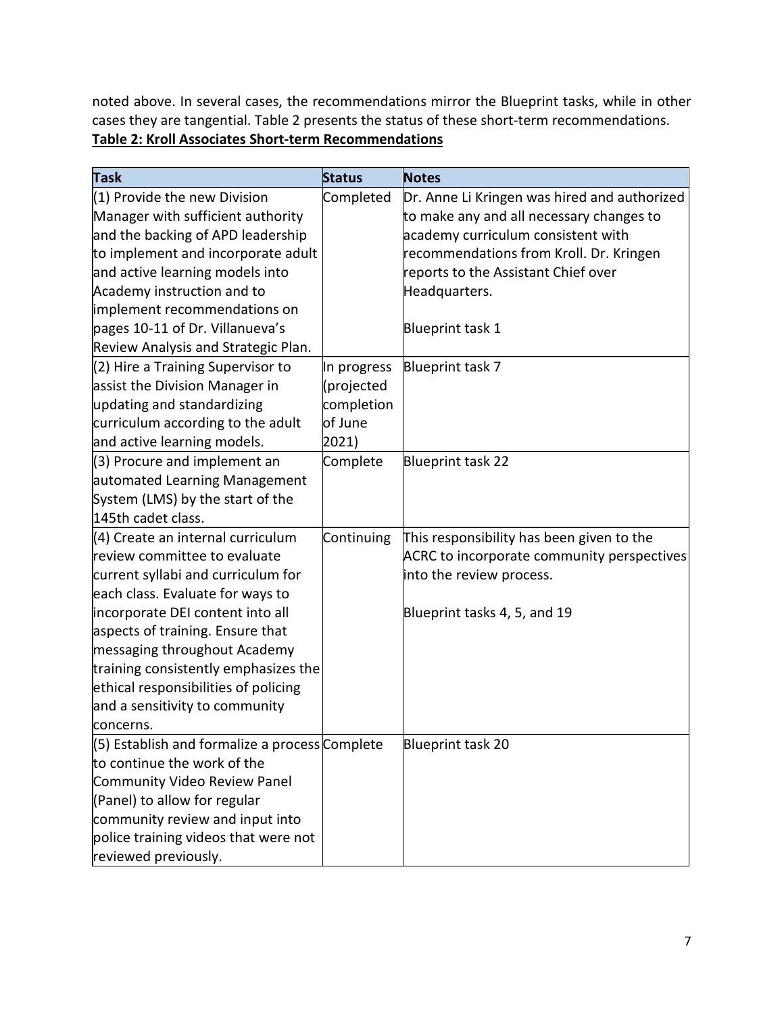noted above. In several cases, the recommendations mirror the Blueprint tasks, while in other cases they are tangential. Table 2 presents the status of these short-term recommendations. **Table 2: Kroll Associates Short-term Recommendations**

| <b>Task</b>                                    | <b>Status</b> | <b>Notes</b>                                 |
|------------------------------------------------|---------------|----------------------------------------------|
| (1) Provide the new Division                   | Completed     | Dr. Anne Li Kringen was hired and authorized |
| Manager with sufficient authority              |               | to make any and all necessary changes to     |
| and the backing of APD leadership              |               | academy curriculum consistent with           |
| to implement and incorporate adult             |               | recommendations from Kroll. Dr. Kringen      |
| and active learning models into                |               | reports to the Assistant Chief over          |
| Academy instruction and to                     |               | Headquarters.                                |
| implement recommendations on                   |               |                                              |
| pages 10-11 of Dr. Villanueva's                |               | Blueprint task 1                             |
| Review Analysis and Strategic Plan.            |               |                                              |
| (2) Hire a Training Supervisor to              | In progress   | Blueprint task 7                             |
| assist the Division Manager in                 | (projected    |                                              |
| updating and standardizing                     | completion    |                                              |
| curriculum according to the adult              | of June       |                                              |
| and active learning models.                    | 2021)         |                                              |
| (3) Procure and implement an                   | Complete      | Blueprint task 22                            |
| automated Learning Management                  |               |                                              |
| System (LMS) by the start of the               |               |                                              |
| 145th cadet class.                             |               |                                              |
| (4) Create an internal curriculum              | Continuing    | This responsibility has been given to the    |
| review committee to evaluate                   |               | ACRC to incorporate community perspectives   |
| current syllabi and curriculum for             |               | into the review process.                     |
| each class. Evaluate for ways to               |               |                                              |
| incorporate DEI content into all               |               | Blueprint tasks 4, 5, and 19                 |
| aspects of training. Ensure that               |               |                                              |
| messaging throughout Academy                   |               |                                              |
| training consistently emphasizes the           |               |                                              |
| ethical responsibilities of policing           |               |                                              |
| and a sensitivity to community                 |               |                                              |
| concerns.                                      |               |                                              |
| (5) Establish and formalize a process Complete |               | Blueprint task 20                            |
| to continue the work of the                    |               |                                              |
| Community Video Review Panel                   |               |                                              |
| (Panel) to allow for regular                   |               |                                              |
| community review and input into                |               |                                              |
| police training videos that were not           |               |                                              |
| reviewed previously.                           |               |                                              |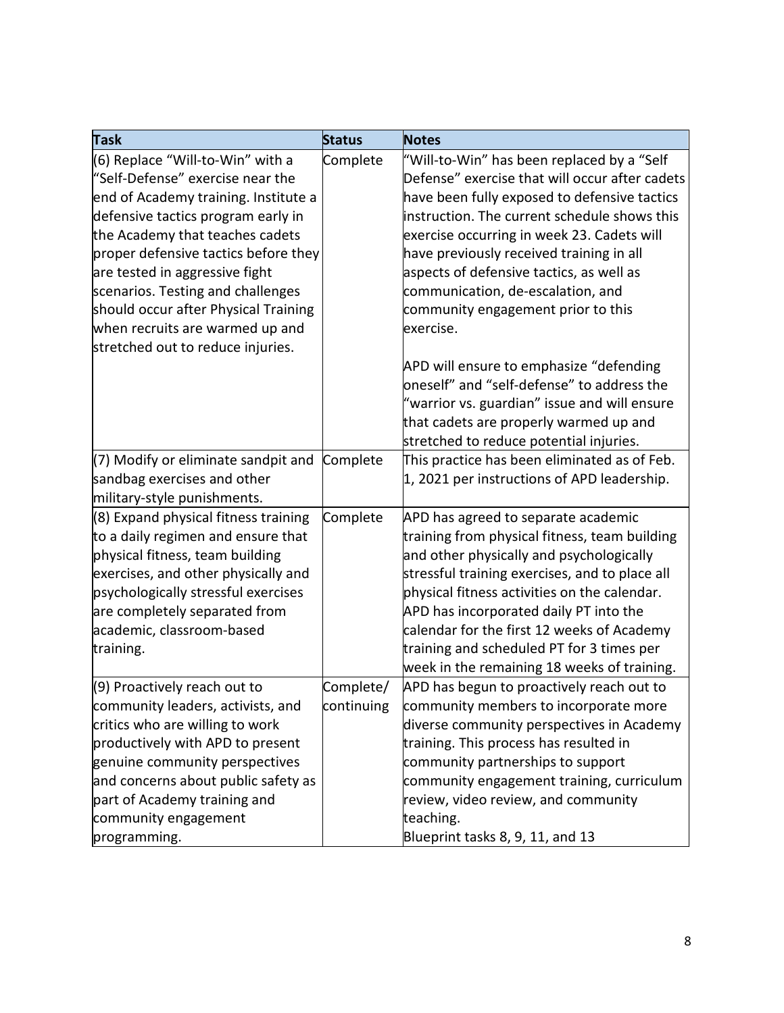| <b>Task</b>                          | <b>Status</b> | <b>Notes</b>                                   |
|--------------------------------------|---------------|------------------------------------------------|
| (6) Replace "Will-to-Win" with a     | Complete      | "Will-to-Win" has been replaced by a "Self     |
| "Self-Defense" exercise near the     |               | Defense" exercise that will occur after cadets |
| end of Academy training. Institute a |               | have been fully exposed to defensive tactics   |
| defensive tactics program early in   |               | instruction. The current schedule shows this   |
| the Academy that teaches cadets      |               | exercise occurring in week 23. Cadets will     |
| proper defensive tactics before they |               | have previously received training in all       |
| are tested in aggressive fight       |               | aspects of defensive tactics, as well as       |
| scenarios. Testing and challenges    |               | communication, de-escalation, and              |
| should occur after Physical Training |               | community engagement prior to this             |
| when recruits are warmed up and      |               | exercise.                                      |
| stretched out to reduce injuries.    |               |                                                |
|                                      |               | APD will ensure to emphasize "defending        |
|                                      |               | oneself" and "self-defense" to address the     |
|                                      |               | "warrior vs. guardian" issue and will ensure   |
|                                      |               | that cadets are properly warmed up and         |
|                                      |               | stretched to reduce potential injuries.        |
| (7) Modify or eliminate sandpit and  | Complete      | This practice has been eliminated as of Feb.   |
| sandbag exercises and other          |               | 1, 2021 per instructions of APD leadership.    |
| military-style punishments.          |               |                                                |
| (8) Expand physical fitness training | Complete      | APD has agreed to separate academic            |
| to a daily regimen and ensure that   |               | training from physical fitness, team building  |
| physical fitness, team building      |               | and other physically and psychologically       |
| exercises, and other physically and  |               | stressful training exercises, and to place all |
| psychologically stressful exercises  |               | physical fitness activities on the calendar.   |
| are completely separated from        |               | APD has incorporated daily PT into the         |
| academic, classroom-based            |               | calendar for the first 12 weeks of Academy     |
| training.                            |               | training and scheduled PT for 3 times per      |
|                                      |               | week in the remaining 18 weeks of training.    |
| (9) Proactively reach out to         | Complete/     | APD has begun to proactively reach out to      |
| community leaders, activists, and    | continuing    | community members to incorporate more          |
| critics who are willing to work      |               | diverse community perspectives in Academy      |
| productively with APD to present     |               | training. This process has resulted in         |
| genuine community perspectives       |               | community partnerships to support              |
| and concerns about public safety as  |               | community engagement training, curriculum      |
| part of Academy training and         |               | review, video review, and community            |
| community engagement                 |               | teaching.                                      |
| programming.                         |               | Blueprint tasks 8, 9, 11, and 13               |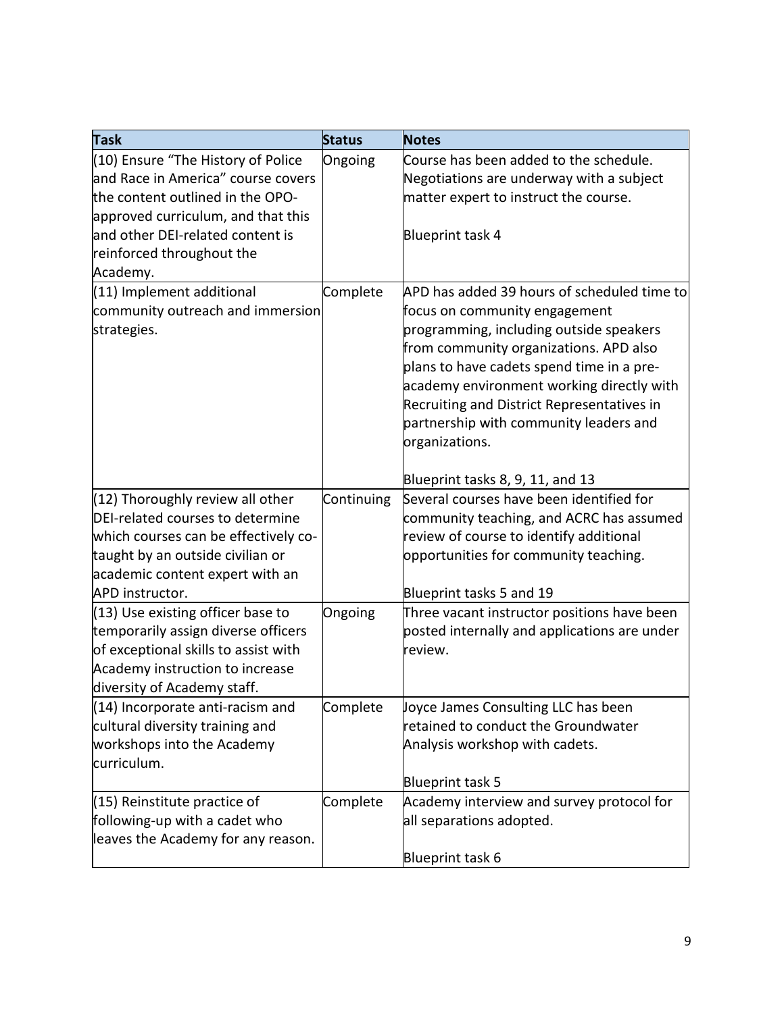| <b>Task</b>                          | <b>Status</b> | <b>Notes</b>                                 |
|--------------------------------------|---------------|----------------------------------------------|
| (10) Ensure "The History of Police   | Ongoing       | Course has been added to the schedule.       |
| and Race in America" course covers   |               | Negotiations are underway with a subject     |
| the content outlined in the OPO-     |               | matter expert to instruct the course.        |
| approved curriculum, and that this   |               |                                              |
| and other DEI-related content is     |               | Blueprint task 4                             |
| reinforced throughout the            |               |                                              |
| Academy.                             |               |                                              |
| (11) Implement additional            | Complete      | APD has added 39 hours of scheduled time to  |
| community outreach and immersion     |               | focus on community engagement                |
| strategies.                          |               | programming, including outside speakers      |
|                                      |               | from community organizations. APD also       |
|                                      |               | plans to have cadets spend time in a pre-    |
|                                      |               | academy environment working directly with    |
|                                      |               | Recruiting and District Representatives in   |
|                                      |               | partnership with community leaders and       |
|                                      |               | organizations.                               |
|                                      |               |                                              |
|                                      |               | Blueprint tasks 8, 9, 11, and 13             |
| $(12)$ Thoroughly review all other   | Continuing    | Several courses have been identified for     |
| DEI-related courses to determine     |               | community teaching, and ACRC has assumed     |
| which courses can be effectively co- |               | review of course to identify additional      |
| taught by an outside civilian or     |               | opportunities for community teaching.        |
| academic content expert with an      |               |                                              |
| APD instructor.                      |               | Blueprint tasks 5 and 19                     |
| (13) Use existing officer base to    | Ongoing       | Three vacant instructor positions have been  |
| temporarily assign diverse officers  |               | posted internally and applications are under |
| of exceptional skills to assist with |               | review.                                      |
| Academy instruction to increase      |               |                                              |
| diversity of Academy staff.          |               |                                              |
| (14) Incorporate anti-racism and     | Complete      | Joyce James Consulting LLC has been          |
| cultural diversity training and      |               | retained to conduct the Groundwater          |
| workshops into the Academy           |               | Analysis workshop with cadets.               |
| curriculum.                          |               |                                              |
|                                      |               | Blueprint task 5                             |
| $(15)$ Reinstitute practice of       | Complete      | Academy interview and survey protocol for    |
| following-up with a cadet who        |               | all separations adopted.                     |
| leaves the Academy for any reason.   |               |                                              |
|                                      |               | Blueprint task 6                             |